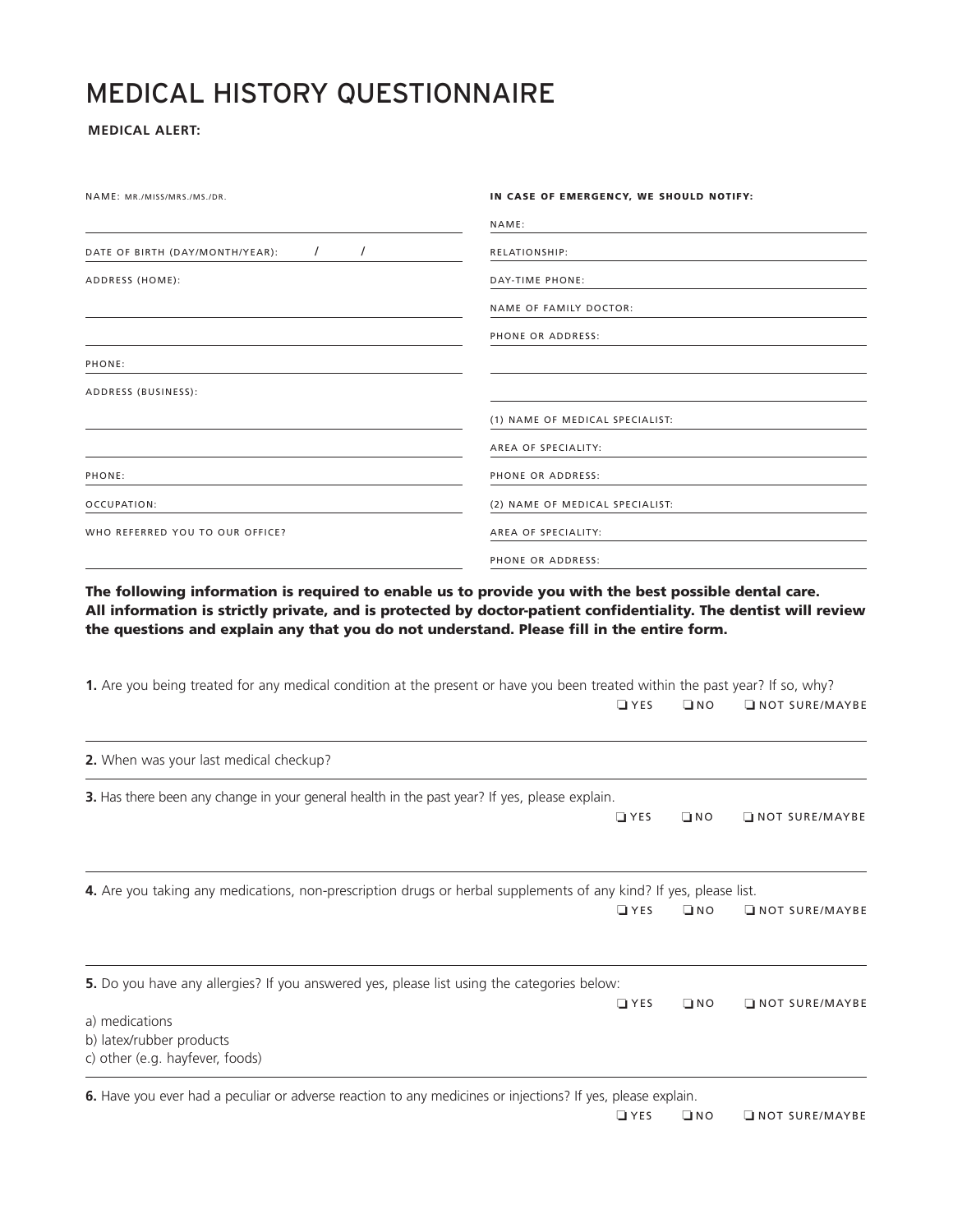## MEDICAL HISTORY QUESTIONNAIRE

## **MEDICAL ALERT:**

NAME: MR./MISS/MRS./MS./DR.

|                                                         | NAME:                           |
|---------------------------------------------------------|---------------------------------|
| $\prime$<br>$\prime$<br>DATE OF BIRTH (DAY/MONTH/YEAR): | <b>RELATIONSHIP:</b>            |
| ADDRESS (HOME):                                         | DAY-TIME PHONE:                 |
|                                                         | <b>NAME OF FAMILY DOCTOR:</b>   |
|                                                         | PHONE OR ADDRESS:               |
| PHONE:                                                  |                                 |
| ADDRESS (BUSINESS):                                     |                                 |
|                                                         | (1) NAME OF MEDICAL SPECIALIST: |
|                                                         | AREA OF SPECIALITY:             |
| PHONE:                                                  | PHONE OR ADDRESS:               |
| OCCUPATION:                                             | (2) NAME OF MEDICAL SPECIALIST: |
| WHO REFERRED YOU TO OUR OFFICE?                         | AREA OF SPECIALITY:             |
|                                                         | PHONE OR ADDRESS:               |

**IN CASE OF EMERGENCY, WE SHOULD NOTIFY:** 

**The following information is required to enable us to provide you with the best possible dental care. All information is strictly private, and is protected by doctor-patient confidentiality. The dentist will review the questions and explain any that you do not understand. Please fill in the entire form.**

| 1. Are you being treated for any medical condition at the present or have you been treated within the past year? If so, why? |            |           |                 |
|------------------------------------------------------------------------------------------------------------------------------|------------|-----------|-----------------|
|                                                                                                                              | $\Box$ YES | $\Box$ NO | NOT SURE/MAYBE  |
| 2. When was your last medical checkup?                                                                                       |            |           |                 |
| 3. Has there been any change in your general health in the past year? If yes, please explain.                                |            |           |                 |
|                                                                                                                              | $\Box$ YES | $\Box$ NO | NOT SURE/MAYBE  |
| 4. Are you taking any medications, non-prescription drugs or herbal supplements of any kind? If yes, please list.            |            |           |                 |
|                                                                                                                              | $\Box$ YES | $\Box$ NO | INOT SURE/MAYBE |
| <b>5.</b> Do you have any allergies? If you answered yes, please list using the categories below:                            |            |           |                 |
|                                                                                                                              | $\Box$ YES | $\Box$ NO | NOT SURE/MAYBE  |
| a) medications                                                                                                               |            |           |                 |
| b) latex/rubber products                                                                                                     |            |           |                 |
| c) other (e.g. hayfever, foods)                                                                                              |            |           |                 |
| 6. Have you ever had a peculiar or adverse reaction to any medicines or injections? If yes, please explain.                  |            |           |                 |
|                                                                                                                              | $\Box$ YES | $\Box$ NO | INOT SURE/MAYBE |